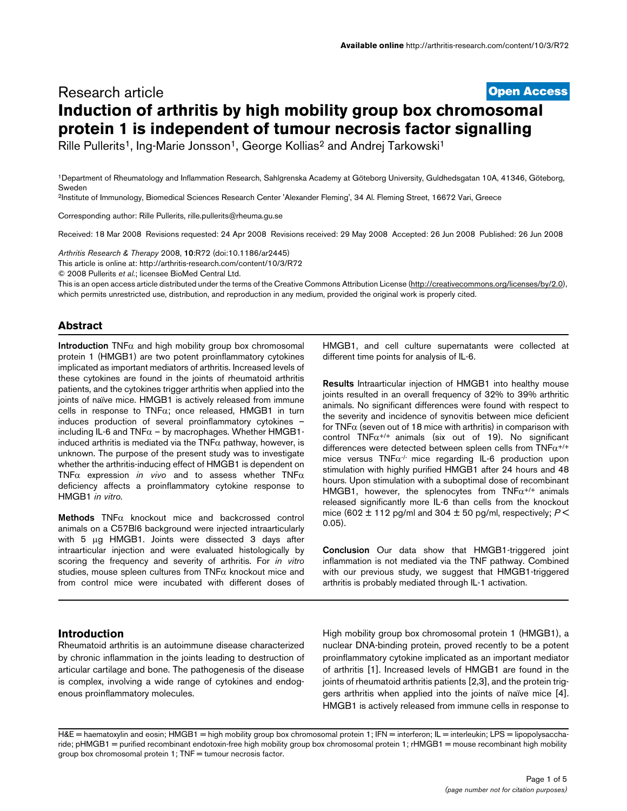# **[Open Access](http://www.biomedcentral.com/info/about/charter/)** Research article **Induction of arthritis by high mobility group box chromosomal protein 1 is independent of tumour necrosis factor signalling**

Rille Pullerits<sup>1</sup>, Ing-Marie Jonsson<sup>1</sup>, George Kollias<sup>2</sup> and Andrej Tarkowski<sup>1</sup>

1Department of Rheumatology and Inflammation Research, Sahlgrenska Academy at Göteborg University, Guldhedsgatan 10A, 41346, Göteborg, Sweden

2Institute of Immunology, Biomedical Sciences Research Center 'Alexander Fleming', 34 Al. Fleming Street, 16672 Vari, Greece

Corresponding author: Rille Pullerits, rille.pullerits@rheuma.gu.se

Received: 18 Mar 2008 Revisions requested: 24 Apr 2008 Revisions received: 29 May 2008 Accepted: 26 Jun 2008 Published: 26 Jun 2008

*Arthritis Research & Therapy* 2008, **10**:R72 (doi:10.1186/ar2445)

[This article is online at: http://arthritis-research.com/content/10/3/R72](http://arthritis-research.com/content/10/3/R72)

© 2008 Pullerits *et al*.; licensee BioMed Central Ltd.

This is an open access article distributed under the terms of the Creative Commons Attribution License [\(http://creativecommons.org/licenses/by/2.0\)](http://creativecommons.org/licenses/by/2.0), which permits unrestricted use, distribution, and reproduction in any medium, provided the original work is properly cited.

### **Abstract**

**Introduction** TNFα and high mobility group box chromosomal protein 1 (HMGB1) are two potent proinflammatory cytokines implicated as important mediators of arthritis. Increased levels of these cytokines are found in the joints of rheumatoid arthritis patients, and the cytokines trigger arthritis when applied into the joints of naïve mice. HMGB1 is actively released from immune cells in response to TNFα; once released, HMGB1 in turn induces production of several proinflammatory cytokines – including IL-6 and  $TNF\alpha$  – by macrophages. Whether HMGB1induced arthritis is mediated via the  $TNF\alpha$  pathway, however, is unknown. The purpose of the present study was to investigate whether the arthritis-inducing effect of HMGB1 is dependent on TNFα expression *in vivo* and to assess whether TNFα deficiency affects a proinflammatory cytokine response to HMGB1 *in vitro*.

**Methods** TNFα knockout mice and backcrossed control animals on a C57Bl6 background were injected intraarticularly with 5 μg HMGB1. Joints were dissected 3 days after intraarticular injection and were evaluated histologically by scoring the frequency and severity of arthritis. For *in vitro* studies, mouse spleen cultures from  $TNF\alpha$  knockout mice and from control mice were incubated with different doses of HMGB1, and cell culture supernatants were collected at different time points for analysis of IL-6.

**Results** Intraarticular injection of HMGB1 into healthy mouse joints resulted in an overall frequency of 32% to 39% arthritic animals. No significant differences were found with respect to the severity and incidence of synovitis between mice deficient for TNF $\alpha$  (seven out of 18 mice with arthritis) in comparison with control TNF $\alpha^{+/+}$  animals (six out of 19). No significant differences were detected between spleen cells from  $TNF\alpha^{+/+}$ mice versus TNF $\alpha$ <sup>-/-</sup> mice regarding IL-6 production upon stimulation with highly purified HMGB1 after 24 hours and 48 hours. Upon stimulation with a suboptimal dose of recombinant HMGB1, however, the splenocytes from  $TNF\alpha^{+/+}$  animals released significantly more IL-6 than cells from the knockout mice (602  $\pm$  112 pg/ml and 304  $\pm$  50 pg/ml, respectively;  $P \le$ 0.05).

**Conclusion** Our data show that HMGB1-triggered joint inflammation is not mediated via the TNF pathway. Combined with our previous study, we suggest that HMGB1-triggered arthritis is probably mediated through IL-1 activation.

# **Introduction**

Rheumatoid arthritis is an autoimmune disease characterized by chronic inflammation in the joints leading to destruction of articular cartilage and bone. The pathogenesis of the disease is complex, involving a wide range of cytokines and endogenous proinflammatory molecules.

High mobility group box chromosomal protein 1 (HMGB1), a nuclear DNA-binding protein, proved recently to be a potent proinflammatory cytokine implicated as an important mediator of arthritis [1]. Increased levels of HMGB1 are found in the joints of rheumatoid arthritis patients [2,3], and the protein triggers arthritis when applied into the joints of naïve mice [4]. HMGB1 is actively released from immune cells in response to

H&E = haematoxylin and eosin; HMGB1 = high mobility group box chromosomal protein 1; IFN = interferon; IL = interleukin; LPS = lipopolysaccharide; pHMGB1 = purified recombinant endotoxin-free high mobility group box chromosomal protein 1; rHMGB1 = mouse recombinant high mobility group box chromosomal protein 1; TNF = tumour necrosis factor.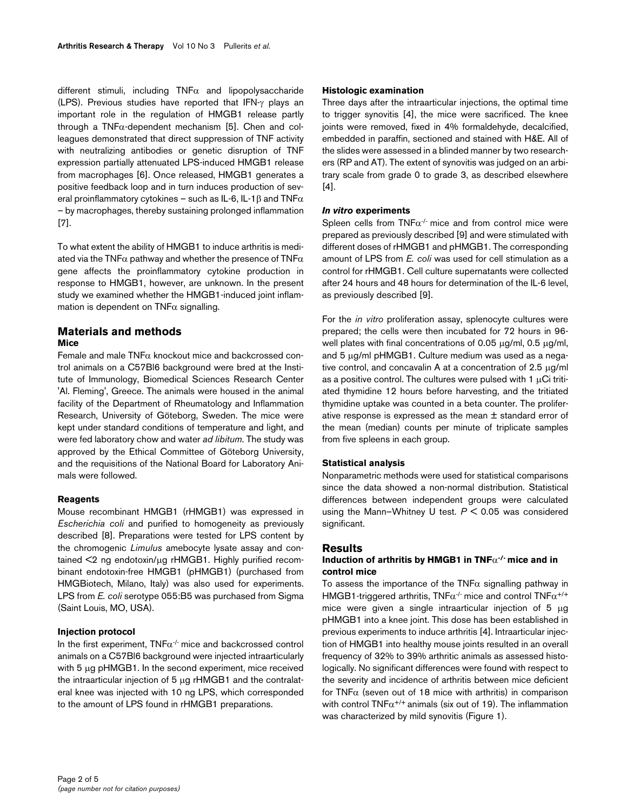different stimuli, including  $TNF\alpha$  and lipopolysaccharide (LPS). Previous studies have reported that IFN-γ plays an important role in the regulation of HMGB1 release partly through a  $TNF\alpha$ -dependent mechanism [5]. Chen and colleagues demonstrated that direct suppression of TNF activity with neutralizing antibodies or genetic disruption of TNF expression partially attenuated LPS-induced HMGB1 release from macrophages [6]. Once released, HMGB1 generates a positive feedback loop and in turn induces production of several proinflammatory cytokines – such as IL-6, IL-1 $\beta$  and TNF $\alpha$ – by macrophages, thereby sustaining prolonged inflammation [7].

To what extent the ability of HMGB1 to induce arthritis is mediated via the TNF $\alpha$  pathway and whether the presence of TNF $\alpha$ gene affects the proinflammatory cytokine production in response to HMGB1, however, are unknown. In the present study we examined whether the HMGB1-induced joint inflammation is dependent on  $TNF\alpha$  signalling.

# **Materials and methods Mice**

Female and male  $TNF\alpha$  knockout mice and backcrossed control animals on a C57Bl6 background were bred at the Institute of Immunology, Biomedical Sciences Research Center 'Al. Fleming', Greece. The animals were housed in the animal facility of the Department of Rheumatology and Inflammation Research, University of Göteborg, Sweden. The mice were kept under standard conditions of temperature and light, and were fed laboratory chow and water *ad libitum*. The study was approved by the Ethical Committee of Göteborg University, and the requisitions of the National Board for Laboratory Animals were followed.

# **Reagents**

Mouse recombinant HMGB1 (rHMGB1) was expressed in *Escherichia coli* and purified to homogeneity as previously described [8]. Preparations were tested for LPS content by the chromogenic *Limulus* amebocyte lysate assay and contained <2 ng endotoxin/μg rHMGB1. Highly purified recombinant endotoxin-free HMGB1 (pHMGB1) (purchased from HMGBiotech, Milano, Italy) was also used for experiments. LPS from *E. coli* serotype 055:B5 was purchased from Sigma (Saint Louis, MO, USA).

## **Injection protocol**

In the first experiment,  $TNF\alpha^{-1}$  mice and backcrossed control animals on a C57Bl6 background were injected intraarticularly with 5 μg pHMGB1. In the second experiment, mice received the intraarticular injection of 5 μg rHMGB1 and the contralateral knee was injected with 10 ng LPS, which corresponded to the amount of LPS found in rHMGB1 preparations.

### **Histologic examination**

Three days after the intraarticular injections, the optimal time to trigger synovitis [4], the mice were sacrificed. The knee joints were removed, fixed in 4% formaldehyde, decalcified, embedded in paraffin, sectioned and stained with H&E. All of the slides were assessed in a blinded manner by two researchers (RP and AT). The extent of synovitis was judged on an arbitrary scale from grade 0 to grade 3, as described elsewhere [4].

### *In vitro* **experiments**

Spleen cells from  $TNF\alpha^{-1}$  mice and from control mice were prepared as previously described [9] and were stimulated with different doses of rHMGB1 and pHMGB1. The corresponding amount of LPS from *E. coli* was used for cell stimulation as a control for rHMGB1. Cell culture supernatants were collected after 24 hours and 48 hours for determination of the IL-6 level, as previously described [9].

For the *in vitro* proliferation assay, splenocyte cultures were prepared; the cells were then incubated for 72 hours in 96 well plates with final concentrations of 0.05 μg/ml, 0.5 μg/ml, and 5 μg/ml pHMGB1. Culture medium was used as a negative control, and concavalin A at a concentration of 2.5 μg/ml as a positive control. The cultures were pulsed with  $1 \mu$ Ci tritiated thymidine 12 hours before harvesting, and the tritiated thymidine uptake was counted in a beta counter. The proliferative response is expressed as the mean ± standard error of the mean (median) counts per minute of triplicate samples from five spleens in each group.

### **Statistical analysis**

Nonparametric methods were used for statistical comparisons since the data showed a non-normal distribution. Statistical differences between independent groups were calculated using the Mann–Whitney U test. *P* < 0.05 was considered significant.

### **Results**

## **Induction of arthritis by HMGB1 in TNF**α**-/- mice and in control mice**

To assess the importance of the TNF $\alpha$  signalling pathway in HMGB1-triggered arthritis,  $TNF\alpha^{-1}$  mice and control  $TNF\alpha^{+/+}$ mice were given a single intraarticular injection of 5 μg pHMGB1 into a knee joint. This dose has been established in previous experiments to induce arthritis [4]. Intraarticular injection of HMGB1 into healthy mouse joints resulted in an overall frequency of 32% to 39% arthritic animals as assessed histologically. No significant differences were found with respect to the severity and incidence of arthritis between mice deficient for TNF $\alpha$  (seven out of 18 mice with arthritis) in comparison with control  $TNF\alpha^{+/+}$  animals (six out of 19). The inflammation was characterized by mild synovitis (Figure 1).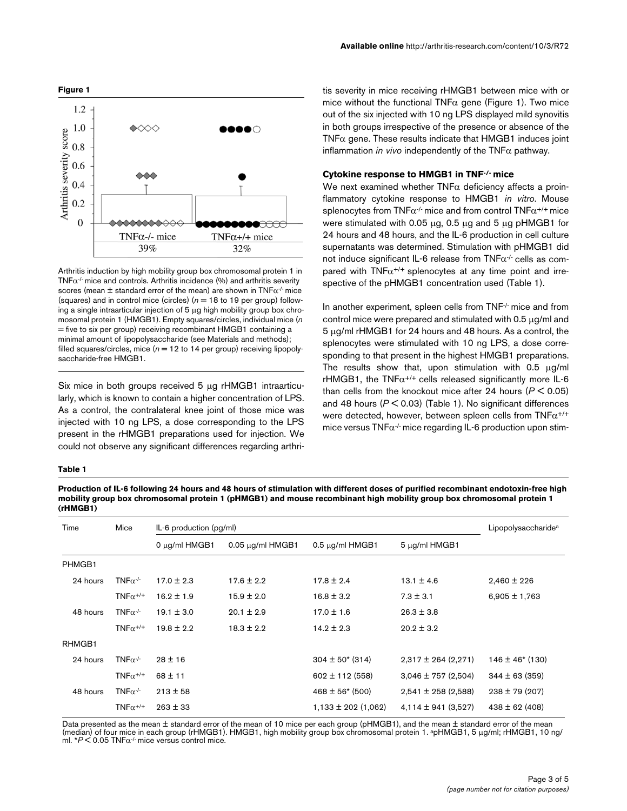

Arthritis induction by high mobility group box chromosomal protein 1 in TNF $\alpha$ <sup>-/-</sup> mice and controls. Arthritis incidence (%) and arthritis severity scores (mean  $\pm$  standard error of the mean) are shown in TNF $\alpha$ <sup>-/-</sup> mice (squares) and in control mice (circles)  $(n = 18$  to 19 per group) following a single intraarticular injection of 5 μg high mobility group box chromosomal protein 1 (HMGB1). Empty squares/circles, individual mice (*n* = five to six per group) receiving recombinant HMGB1 containing a minimal amount of lipopolysaccharide (see Materials and methods); filled squares/circles, mice  $(n = 12$  to 14 per group) receiving lipopolysaccharide-free HMGB1.

Six mice in both groups received 5 μg rHMGB1 intraarticularly, which is known to contain a higher concentration of LPS. As a control, the contralateral knee joint of those mice was injected with 10 ng LPS, a dose corresponding to the LPS present in the rHMGB1 preparations used for injection. We could not observe any significant differences regarding arthri-

#### **Available online** http://arthritis-research.com/content/10/3/R72

tis severity in mice receiving rHMGB1 between mice with or mice without the functional TNF $\alpha$  gene (Figure 1). Two mice out of the six injected with 10 ng LPS displayed mild synovitis in both groups irrespective of the presence or absence of the TNF $\alpha$  gene. These results indicate that HMGB1 induces joint inflammation *in vivo* independently of the TNFα pathway.

### **Cytokine response to HMGB1 in TNF-/- mice**

We next examined whether  $TNF\alpha$  deficiency affects a proinflammatory cytokine response to HMGB1 *in vitro*. Mouse splenocytes from TNF $\alpha$ <sup>-/-</sup> mice and from control TNF $\alpha$ <sup>+/+</sup> mice were stimulated with 0.05 μg, 0.5 μg and 5 μg pHMGB1 for 24 hours and 48 hours, and the IL-6 production in cell culture supernatants was determined. Stimulation with pHMGB1 did not induce significant IL-6 release from  $TNF\alpha^{1}$  cells as compared with  $TNF\alpha^{+/+}$  splenocytes at any time point and irrespective of the pHMGB1 concentration used (Table [1](#page-2-0)).

In another experiment, spleen cells from TNF<sup>-/-</sup> mice and from control mice were prepared and stimulated with 0.5 μg/ml and 5 μg/ml rHMGB1 for 24 hours and 48 hours. As a control, the splenocytes were stimulated with 10 ng LPS, a dose corresponding to that present in the highest HMGB1 preparations. The results show that, upon stimulation with 0.5 μg/ml rHMGB1, the  $TNF\alpha^{+/+}$  cells released significantly more IL-6 than cells from the knockout mice after 24 hours (*P* < 0.05) and 48 hours (*P* < 0.03) (Table [1\)](#page-2-0). No significant differences were detected, however, between spleen cells from  $TNF\alpha^{+/+}$ mice versus  $TNF\alpha$ <sup>-/-</sup> mice regarding IL-6 production upon stim-

#### <span id="page-2-0"></span>**Table 1**

**Production of IL-6 following 24 hours and 48 hours of stimulation with different doses of purified recombinant endotoxin-free high mobility group box chromosomal protein 1 (pHMGB1) and mouse recombinant high mobility group box chromosomal protein 1 (rHMGB1)**

| Time     | Mice                        | $IL-6$ production ( $pg/ml$ ) |                       |                         |                         | Lipopolysaccharide <sup>a</sup> |
|----------|-----------------------------|-------------------------------|-----------------------|-------------------------|-------------------------|---------------------------------|
|          |                             | $0 \mu q$ /ml HMGB1           | $0.05 \mu$ g/ml HMGB1 | $0.5 \mu g/ml$ HMGB1    | $5 \mu g/ml$ HMGB1      |                                 |
| PHMGB1   |                             |                               |                       |                         |                         |                                 |
| 24 hours | TNF $\alpha$ <sup>-/-</sup> | $17.0 \pm 2.3$                | $17.6 \pm 2.2$        | $17.8 \pm 2.4$          | $13.1 \pm 4.6$          | $2,460 \pm 226$                 |
|          | $TNF\alpha^{+/+}$           | $16.2 \pm 1.9$                | $15.9 \pm 2.0$        | $16.8 \pm 3.2$          | $7.3 \pm 3.1$           | $6,905 \pm 1,763$               |
| 48 hours | TNF $\alpha$ <sup>-/-</sup> | $19.1 \pm 3.0$                | $20.1 \pm 2.9$        | $17.0 \pm 1.6$          | $26.3 \pm 3.8$          |                                 |
|          | TNF $\alpha^{+/+}$          | $19.8 \pm 2.2$                | $18.3 \pm 2.2$        | $14.2 \pm 2.3$          | $20.2 \pm 3.2$          |                                 |
| RHMGB1   |                             |                               |                       |                         |                         |                                 |
| 24 hours | TNF $\alpha$ <sup>-/-</sup> | $28 \pm 16$                   |                       | $304 \pm 50^{*}$ (314)  | $2,317 \pm 264$ (2,271) | $146 \pm 46$ * (130)            |
|          | TNF $\alpha^{+/+}$          | $68 \pm 11$                   |                       | $602 \pm 112$ (558)     | $3,046 \pm 757$ (2,504) | $344 \pm 63 (359)$              |
| 48 hours | TNF $\alpha$ <sup>-/-</sup> | $213 \pm 58$                  |                       | $468 \pm 56$ (500)      | $2,541 \pm 258$ (2,588) | $238 \pm 79$ (207)              |
|          | TNF $\alpha^{+/+}$          | $263 \pm 33$                  |                       | $1,133 \pm 202$ (1,062) | $4,114 \pm 941$ (3,527) | $438 \pm 62$ (408)              |

Data presented as the mean ± standard error of the mean of 10 mice per each group (pHMGB1), and the mean ± standard error of the mean (median) of four mice in each group (rHMGB1). HMGB1, high mobility group box chromosomal protein 1. apHMGB1, 5 μg/ml; rHMGB1, 10 ng/ ml.  $*P < 0.05$  TNF $\alpha$ <sup>1</sup> mice versus control mice.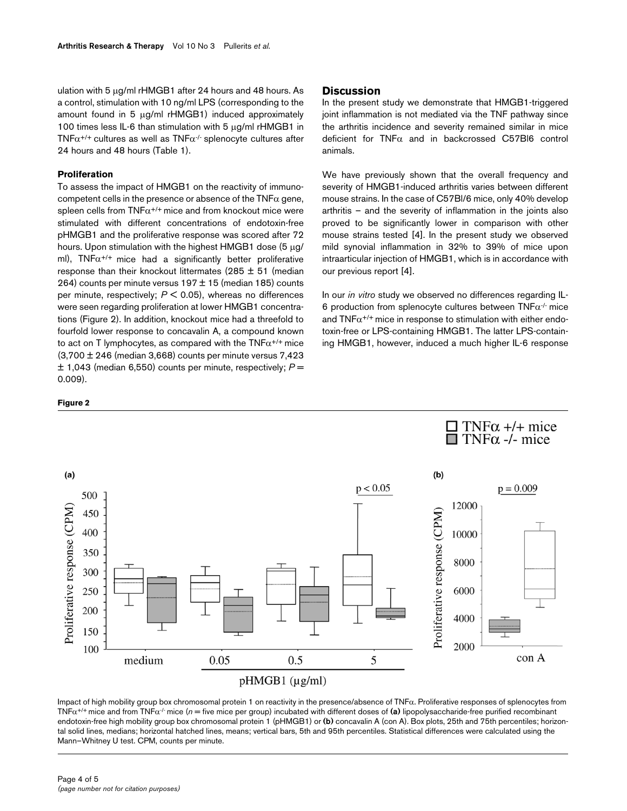ulation with 5 μg/ml rHMGB1 after 24 hours and 48 hours. As a control, stimulation with 10 ng/ml LPS (corresponding to the amount found in 5 μg/ml rHMGB1) induced approximately 100 times less IL-6 than stimulation with 5 μg/ml rHMGB1 in TNF $\alpha^{+/+}$  cultures as well as TNF $\alpha^{+/}$  splenocyte cultures after 24 hours and 48 hours (Table [1](#page-2-0)).

## **Proliferation**

To assess the impact of HMGB1 on the reactivity of immunocompetent cells in the presence or absence of the  $TNF\alpha$  gene, spleen cells from  $TNF\alpha^{+/+}$  mice and from knockout mice were stimulated with different concentrations of endotoxin-free pHMGB1 and the proliferative response was scored after 72 hours. Upon stimulation with the highest HMGB1 dose (5 μg/ ml),  $TNF\alpha^{+/+}$  mice had a significantly better proliferative response than their knockout littermates (285  $\pm$  51 (median 264) counts per minute versus  $197 \pm 15$  (median 185) counts per minute, respectively; *P* < 0.05), whereas no differences were seen regarding proliferation at lower HMGB1 concentrations (Figure 2). In addition, knockout mice had a threefold to fourfold lower response to concavalin A, a compound known to act on T lymphocytes, as compared with the  $TNF\alpha^{+/+}$  mice  $(3,700 \pm 246$  (median 3,668) counts per minute versus 7,423  $\pm$  1,043 (median 6,550) counts per minute, respectively;  $P =$ 0.009).

# **Discussion**

In the present study we demonstrate that HMGB1-triggered joint inflammation is not mediated via the TNF pathway since the arthritis incidence and severity remained similar in mice deficient for  $TNF\alpha$  and in backcrossed C57Bl6 control animals.

We have previously shown that the overall frequency and severity of HMGB1-induced arthritis varies between different mouse strains. In the case of C57Bl/6 mice, only 40% develop arthritis – and the severity of inflammation in the joints also proved to be significantly lower in comparison with other mouse strains tested [4]. In the present study we observed mild synovial inflammation in 32% to 39% of mice upon intraarticular injection of HMGB1, which is in accordance with our previous report [4].

In our *in vitro* study we observed no differences regarding IL-6 production from splenocyte cultures between  $TNF\alpha$ <sup>-/-</sup> mice and  $TNF\alpha^{+/+}$  mice in response to stimulation with either endotoxin-free or LPS-containing HMGB1. The latter LPS-containing HMGB1, however, induced a much higher IL-6 response





Impact of high mobility group box chromosomal protein 1 on reactivity in the presence/absence of  $TNF\alpha$ . Proliferative responses of splenocytes from TNFα+/+ mice and from TNFα-/- mice (*n* = five mice per group) incubated with different doses of **(a)** lipopolysaccharide-free purified recombinant endotoxin-free high mobility group box chromosomal protein 1 (pHMGB1) or **(b)** concavalin A (con A). Box plots, 25th and 75th percentiles; horizontal solid lines, medians; horizontal hatched lines, means; vertical bars, 5th and 95th percentiles. Statistical differences were calculated using the Mann–Whitney U test. CPM, counts per minute.